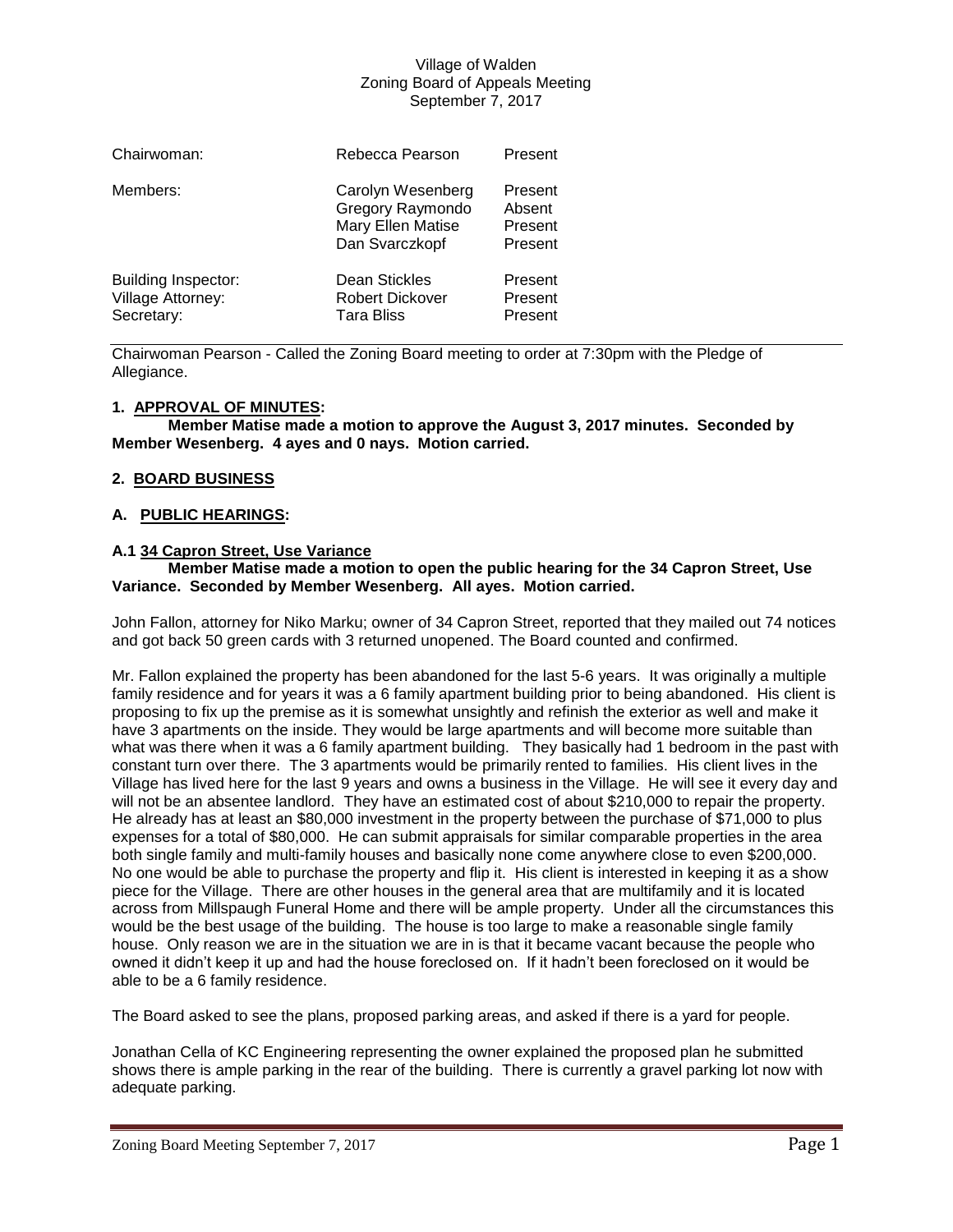| Chairwoman:                                                   | Rebecca Pearson                                                              | Present                                 |
|---------------------------------------------------------------|------------------------------------------------------------------------------|-----------------------------------------|
| Members:                                                      | Carolyn Wesenberg<br>Gregory Raymondo<br>Mary Ellen Matise<br>Dan Svarczkopf | Present<br>Absent<br>Present<br>Present |
| <b>Building Inspector:</b><br>Village Attorney:<br>Secretary: | Dean Stickles<br><b>Robert Dickover</b><br><b>Tara Bliss</b>                 | Present<br>Present<br>Present           |

Chairwoman Pearson - Called the Zoning Board meeting to order at 7:30pm with the Pledge of Allegiance.

## **1. APPROVAL OF MINUTES:**

**Member Matise made a motion to approve the August 3, 2017 minutes. Seconded by Member Wesenberg. 4 ayes and 0 nays. Motion carried.**

# **2. BOARD BUSINESS**

# **A. PUBLIC HEARINGS:**

# **A.1 34 Capron Street, Use Variance**

### **Member Matise made a motion to open the public hearing for the 34 Capron Street, Use Variance. Seconded by Member Wesenberg. All ayes. Motion carried.**

John Fallon, attorney for Niko Marku; owner of 34 Capron Street, reported that they mailed out 74 notices and got back 50 green cards with 3 returned unopened. The Board counted and confirmed.

Mr. Fallon explained the property has been abandoned for the last 5-6 years. It was originally a multiple family residence and for years it was a 6 family apartment building prior to being abandoned. His client is proposing to fix up the premise as it is somewhat unsightly and refinish the exterior as well and make it have 3 apartments on the inside. They would be large apartments and will become more suitable than what was there when it was a 6 family apartment building. They basically had 1 bedroom in the past with constant turn over there. The 3 apartments would be primarily rented to families. His client lives in the Village has lived here for the last 9 years and owns a business in the Village. He will see it every day and will not be an absentee landlord. They have an estimated cost of about \$210,000 to repair the property. He already has at least an \$80,000 investment in the property between the purchase of \$71,000 to plus expenses for a total of \$80,000. He can submit appraisals for similar comparable properties in the area both single family and multi-family houses and basically none come anywhere close to even \$200,000. No one would be able to purchase the property and flip it. His client is interested in keeping it as a show piece for the Village. There are other houses in the general area that are multifamily and it is located across from Millspaugh Funeral Home and there will be ample property. Under all the circumstances this would be the best usage of the building. The house is too large to make a reasonable single family house. Only reason we are in the situation we are in is that it became vacant because the people who owned it didn't keep it up and had the house foreclosed on. If it hadn't been foreclosed on it would be able to be a 6 family residence.

The Board asked to see the plans, proposed parking areas, and asked if there is a yard for people.

Jonathan Cella of KC Engineering representing the owner explained the proposed plan he submitted shows there is ample parking in the rear of the building. There is currently a gravel parking lot now with adequate parking.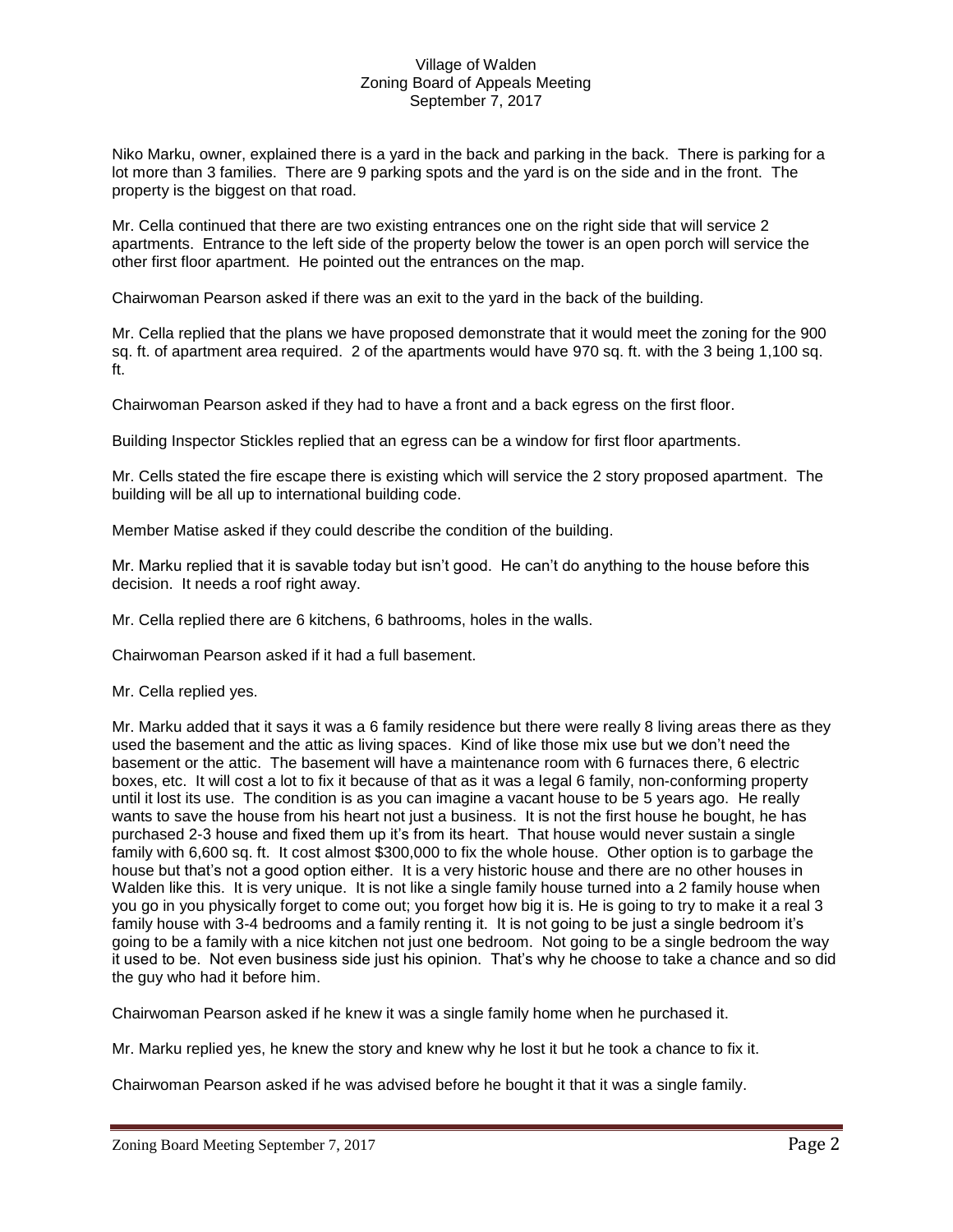Niko Marku, owner, explained there is a yard in the back and parking in the back. There is parking for a lot more than 3 families. There are 9 parking spots and the yard is on the side and in the front. The property is the biggest on that road.

Mr. Cella continued that there are two existing entrances one on the right side that will service 2 apartments. Entrance to the left side of the property below the tower is an open porch will service the other first floor apartment. He pointed out the entrances on the map.

Chairwoman Pearson asked if there was an exit to the yard in the back of the building.

Mr. Cella replied that the plans we have proposed demonstrate that it would meet the zoning for the 900 sq. ft. of apartment area required. 2 of the apartments would have 970 sq. ft. with the 3 being 1,100 sq. ft.

Chairwoman Pearson asked if they had to have a front and a back egress on the first floor.

Building Inspector Stickles replied that an egress can be a window for first floor apartments.

Mr. Cells stated the fire escape there is existing which will service the 2 story proposed apartment. The building will be all up to international building code.

Member Matise asked if they could describe the condition of the building.

Mr. Marku replied that it is savable today but isn't good. He can't do anything to the house before this decision. It needs a roof right away.

Mr. Cella replied there are 6 kitchens, 6 bathrooms, holes in the walls.

Chairwoman Pearson asked if it had a full basement.

Mr. Cella replied yes.

Mr. Marku added that it says it was a 6 family residence but there were really 8 living areas there as they used the basement and the attic as living spaces. Kind of like those mix use but we don't need the basement or the attic. The basement will have a maintenance room with 6 furnaces there, 6 electric boxes, etc. It will cost a lot to fix it because of that as it was a legal 6 family, non-conforming property until it lost its use. The condition is as you can imagine a vacant house to be 5 years ago. He really wants to save the house from his heart not just a business. It is not the first house he bought, he has purchased 2-3 house and fixed them up it's from its heart. That house would never sustain a single family with 6,600 sq. ft. It cost almost \$300,000 to fix the whole house. Other option is to garbage the house but that's not a good option either. It is a very historic house and there are no other houses in Walden like this. It is very unique. It is not like a single family house turned into a 2 family house when you go in you physically forget to come out; you forget how big it is. He is going to try to make it a real 3 family house with 3-4 bedrooms and a family renting it. It is not going to be just a single bedroom it's going to be a family with a nice kitchen not just one bedroom. Not going to be a single bedroom the way it used to be. Not even business side just his opinion. That's why he choose to take a chance and so did the guy who had it before him.

Chairwoman Pearson asked if he knew it was a single family home when he purchased it.

Mr. Marku replied yes, he knew the story and knew why he lost it but he took a chance to fix it.

Chairwoman Pearson asked if he was advised before he bought it that it was a single family.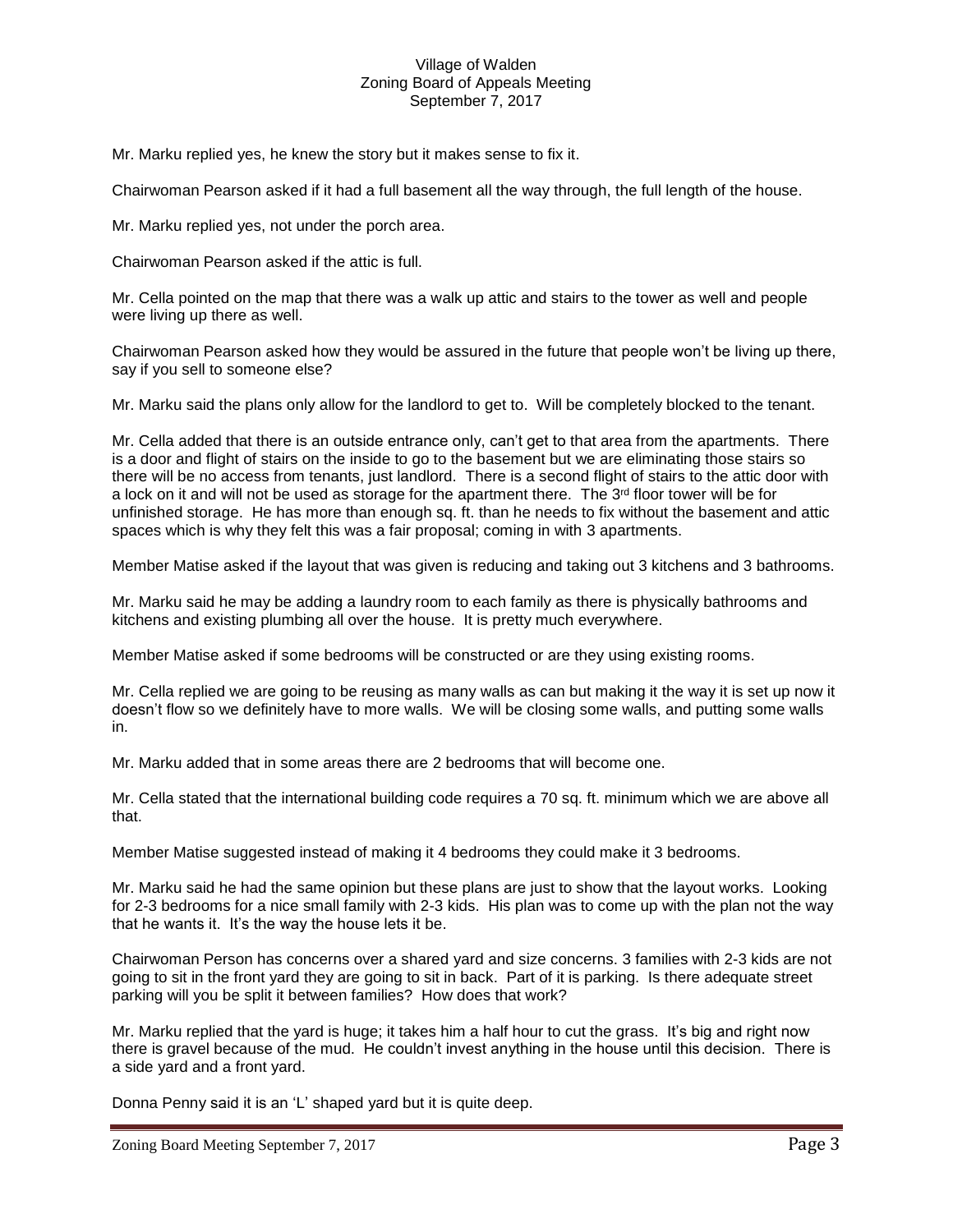Mr. Marku replied yes, he knew the story but it makes sense to fix it.

Chairwoman Pearson asked if it had a full basement all the way through, the full length of the house.

Mr. Marku replied yes, not under the porch area.

Chairwoman Pearson asked if the attic is full.

Mr. Cella pointed on the map that there was a walk up attic and stairs to the tower as well and people were living up there as well.

Chairwoman Pearson asked how they would be assured in the future that people won't be living up there, say if you sell to someone else?

Mr. Marku said the plans only allow for the landlord to get to. Will be completely blocked to the tenant.

Mr. Cella added that there is an outside entrance only, can't get to that area from the apartments. There is a door and flight of stairs on the inside to go to the basement but we are eliminating those stairs so there will be no access from tenants, just landlord. There is a second flight of stairs to the attic door with a lock on it and will not be used as storage for the apartment there. The 3<sup>rd</sup> floor tower will be for unfinished storage. He has more than enough sq. ft. than he needs to fix without the basement and attic spaces which is why they felt this was a fair proposal; coming in with 3 apartments.

Member Matise asked if the layout that was given is reducing and taking out 3 kitchens and 3 bathrooms.

Mr. Marku said he may be adding a laundry room to each family as there is physically bathrooms and kitchens and existing plumbing all over the house. It is pretty much everywhere.

Member Matise asked if some bedrooms will be constructed or are they using existing rooms.

Mr. Cella replied we are going to be reusing as many walls as can but making it the way it is set up now it doesn't flow so we definitely have to more walls. We will be closing some walls, and putting some walls in.

Mr. Marku added that in some areas there are 2 bedrooms that will become one.

Mr. Cella stated that the international building code requires a 70 sq. ft. minimum which we are above all that.

Member Matise suggested instead of making it 4 bedrooms they could make it 3 bedrooms.

Mr. Marku said he had the same opinion but these plans are just to show that the layout works. Looking for 2-3 bedrooms for a nice small family with 2-3 kids. His plan was to come up with the plan not the way that he wants it. It's the way the house lets it be.

Chairwoman Person has concerns over a shared yard and size concerns. 3 families with 2-3 kids are not going to sit in the front yard they are going to sit in back. Part of it is parking. Is there adequate street parking will you be split it between families? How does that work?

Mr. Marku replied that the yard is huge; it takes him a half hour to cut the grass. It's big and right now there is gravel because of the mud. He couldn't invest anything in the house until this decision. There is a side yard and a front yard.

Donna Penny said it is an 'L' shaped yard but it is quite deep.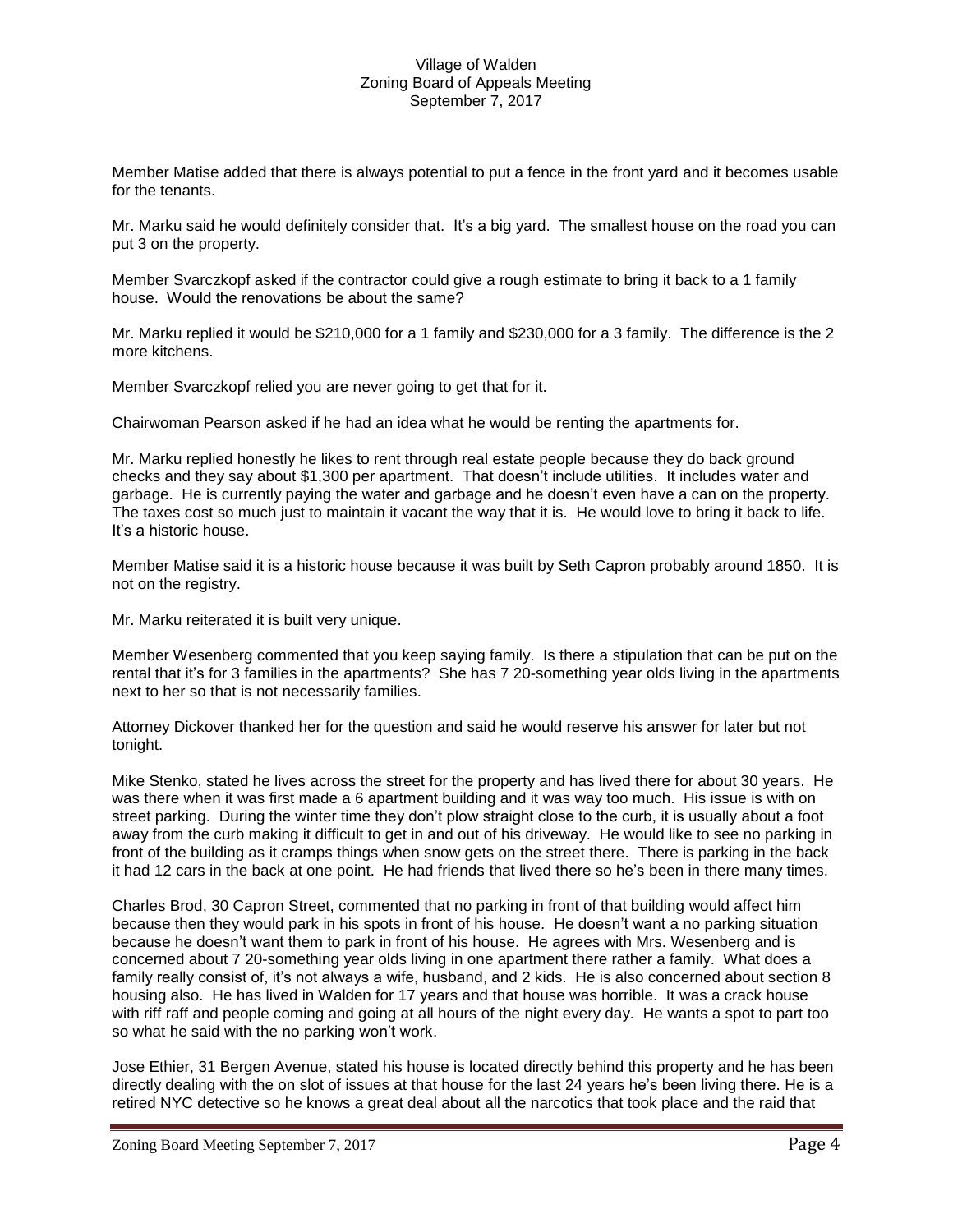Member Matise added that there is always potential to put a fence in the front yard and it becomes usable for the tenants.

Mr. Marku said he would definitely consider that. It's a big yard. The smallest house on the road you can put 3 on the property.

Member Svarczkopf asked if the contractor could give a rough estimate to bring it back to a 1 family house. Would the renovations be about the same?

Mr. Marku replied it would be \$210,000 for a 1 family and \$230,000 for a 3 family. The difference is the 2 more kitchens.

Member Svarczkopf relied you are never going to get that for it.

Chairwoman Pearson asked if he had an idea what he would be renting the apartments for.

Mr. Marku replied honestly he likes to rent through real estate people because they do back ground checks and they say about \$1,300 per apartment. That doesn't include utilities. It includes water and garbage. He is currently paying the water and garbage and he doesn't even have a can on the property. The taxes cost so much just to maintain it vacant the way that it is. He would love to bring it back to life. It's a historic house.

Member Matise said it is a historic house because it was built by Seth Capron probably around 1850. It is not on the registry.

Mr. Marku reiterated it is built very unique.

Member Wesenberg commented that you keep saying family. Is there a stipulation that can be put on the rental that it's for 3 families in the apartments? She has 7 20-something year olds living in the apartments next to her so that is not necessarily families.

Attorney Dickover thanked her for the question and said he would reserve his answer for later but not tonight.

Mike Stenko, stated he lives across the street for the property and has lived there for about 30 years. He was there when it was first made a 6 apartment building and it was way too much. His issue is with on street parking. During the winter time they don't plow straight close to the curb, it is usually about a foot away from the curb making it difficult to get in and out of his driveway. He would like to see no parking in front of the building as it cramps things when snow gets on the street there. There is parking in the back it had 12 cars in the back at one point. He had friends that lived there so he's been in there many times.

Charles Brod, 30 Capron Street, commented that no parking in front of that building would affect him because then they would park in his spots in front of his house. He doesn't want a no parking situation because he doesn't want them to park in front of his house. He agrees with Mrs. Wesenberg and is concerned about 7 20-something year olds living in one apartment there rather a family. What does a family really consist of, it's not always a wife, husband, and 2 kids. He is also concerned about section 8 housing also. He has lived in Walden for 17 years and that house was horrible. It was a crack house with riff raff and people coming and going at all hours of the night every day. He wants a spot to part too so what he said with the no parking won't work.

Jose Ethier, 31 Bergen Avenue, stated his house is located directly behind this property and he has been directly dealing with the on slot of issues at that house for the last 24 years he's been living there. He is a retired NYC detective so he knows a great deal about all the narcotics that took place and the raid that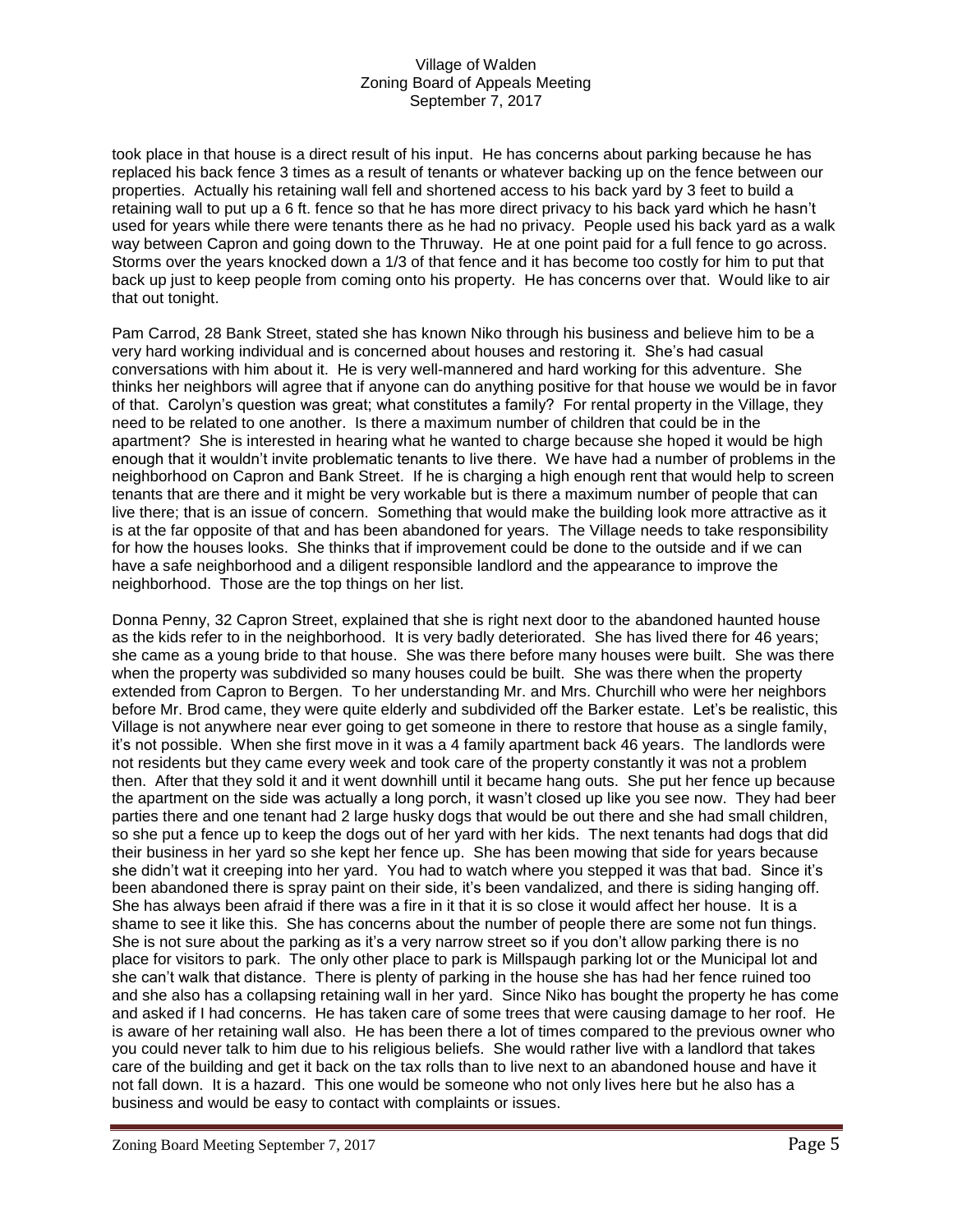took place in that house is a direct result of his input. He has concerns about parking because he has replaced his back fence 3 times as a result of tenants or whatever backing up on the fence between our properties. Actually his retaining wall fell and shortened access to his back yard by 3 feet to build a retaining wall to put up a 6 ft. fence so that he has more direct privacy to his back yard which he hasn't used for years while there were tenants there as he had no privacy. People used his back yard as a walk way between Capron and going down to the Thruway. He at one point paid for a full fence to go across. Storms over the years knocked down a 1/3 of that fence and it has become too costly for him to put that back up just to keep people from coming onto his property. He has concerns over that. Would like to air that out tonight.

Pam Carrod, 28 Bank Street, stated she has known Niko through his business and believe him to be a very hard working individual and is concerned about houses and restoring it. She's had casual conversations with him about it. He is very well-mannered and hard working for this adventure. She thinks her neighbors will agree that if anyone can do anything positive for that house we would be in favor of that. Carolyn's question was great; what constitutes a family? For rental property in the Village, they need to be related to one another. Is there a maximum number of children that could be in the apartment? She is interested in hearing what he wanted to charge because she hoped it would be high enough that it wouldn't invite problematic tenants to live there. We have had a number of problems in the neighborhood on Capron and Bank Street. If he is charging a high enough rent that would help to screen tenants that are there and it might be very workable but is there a maximum number of people that can live there; that is an issue of concern. Something that would make the building look more attractive as it is at the far opposite of that and has been abandoned for years. The Village needs to take responsibility for how the houses looks. She thinks that if improvement could be done to the outside and if we can have a safe neighborhood and a diligent responsible landlord and the appearance to improve the neighborhood. Those are the top things on her list.

Donna Penny, 32 Capron Street, explained that she is right next door to the abandoned haunted house as the kids refer to in the neighborhood. It is very badly deteriorated. She has lived there for 46 years; she came as a young bride to that house. She was there before many houses were built. She was there when the property was subdivided so many houses could be built. She was there when the property extended from Capron to Bergen. To her understanding Mr. and Mrs. Churchill who were her neighbors before Mr. Brod came, they were quite elderly and subdivided off the Barker estate. Let's be realistic, this Village is not anywhere near ever going to get someone in there to restore that house as a single family, it's not possible. When she first move in it was a 4 family apartment back 46 years. The landlords were not residents but they came every week and took care of the property constantly it was not a problem then. After that they sold it and it went downhill until it became hang outs. She put her fence up because the apartment on the side was actually a long porch, it wasn't closed up like you see now. They had beer parties there and one tenant had 2 large husky dogs that would be out there and she had small children, so she put a fence up to keep the dogs out of her yard with her kids. The next tenants had dogs that did their business in her yard so she kept her fence up. She has been mowing that side for years because she didn't wat it creeping into her yard. You had to watch where you stepped it was that bad. Since it's been abandoned there is spray paint on their side, it's been vandalized, and there is siding hanging off. She has always been afraid if there was a fire in it that it is so close it would affect her house. It is a shame to see it like this. She has concerns about the number of people there are some not fun things. She is not sure about the parking as it's a very narrow street so if you don't allow parking there is no place for visitors to park. The only other place to park is Millspaugh parking lot or the Municipal lot and she can't walk that distance. There is plenty of parking in the house she has had her fence ruined too and she also has a collapsing retaining wall in her yard. Since Niko has bought the property he has come and asked if I had concerns. He has taken care of some trees that were causing damage to her roof. He is aware of her retaining wall also. He has been there a lot of times compared to the previous owner who you could never talk to him due to his religious beliefs. She would rather live with a landlord that takes care of the building and get it back on the tax rolls than to live next to an abandoned house and have it not fall down. It is a hazard. This one would be someone who not only lives here but he also has a business and would be easy to contact with complaints or issues.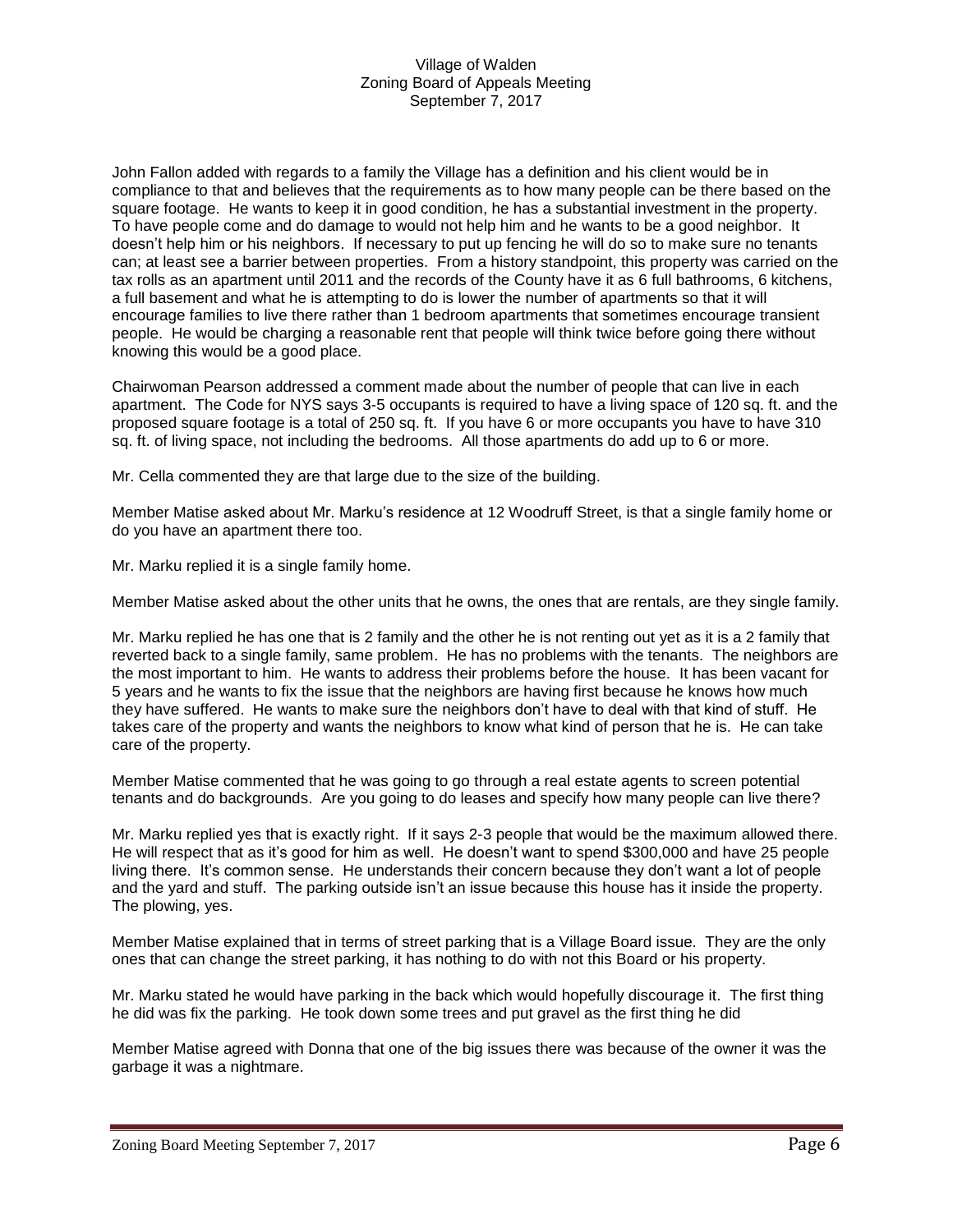John Fallon added with regards to a family the Village has a definition and his client would be in compliance to that and believes that the requirements as to how many people can be there based on the square footage. He wants to keep it in good condition, he has a substantial investment in the property. To have people come and do damage to would not help him and he wants to be a good neighbor. It doesn't help him or his neighbors. If necessary to put up fencing he will do so to make sure no tenants can; at least see a barrier between properties. From a history standpoint, this property was carried on the tax rolls as an apartment until 2011 and the records of the County have it as 6 full bathrooms, 6 kitchens, a full basement and what he is attempting to do is lower the number of apartments so that it will encourage families to live there rather than 1 bedroom apartments that sometimes encourage transient people. He would be charging a reasonable rent that people will think twice before going there without knowing this would be a good place.

Chairwoman Pearson addressed a comment made about the number of people that can live in each apartment. The Code for NYS says 3-5 occupants is required to have a living space of 120 sq. ft. and the proposed square footage is a total of 250 sq. ft. If you have 6 or more occupants you have to have 310 sq. ft. of living space, not including the bedrooms. All those apartments do add up to 6 or more.

Mr. Cella commented they are that large due to the size of the building.

Member Matise asked about Mr. Marku's residence at 12 Woodruff Street, is that a single family home or do you have an apartment there too.

Mr. Marku replied it is a single family home.

Member Matise asked about the other units that he owns, the ones that are rentals, are they single family.

Mr. Marku replied he has one that is 2 family and the other he is not renting out yet as it is a 2 family that reverted back to a single family, same problem. He has no problems with the tenants. The neighbors are the most important to him. He wants to address their problems before the house. It has been vacant for 5 years and he wants to fix the issue that the neighbors are having first because he knows how much they have suffered. He wants to make sure the neighbors don't have to deal with that kind of stuff. He takes care of the property and wants the neighbors to know what kind of person that he is. He can take care of the property.

Member Matise commented that he was going to go through a real estate agents to screen potential tenants and do backgrounds. Are you going to do leases and specify how many people can live there?

Mr. Marku replied yes that is exactly right. If it says 2-3 people that would be the maximum allowed there. He will respect that as it's good for him as well. He doesn't want to spend \$300,000 and have 25 people living there. It's common sense. He understands their concern because they don't want a lot of people and the yard and stuff. The parking outside isn't an issue because this house has it inside the property. The plowing, yes.

Member Matise explained that in terms of street parking that is a Village Board issue. They are the only ones that can change the street parking, it has nothing to do with not this Board or his property.

Mr. Marku stated he would have parking in the back which would hopefully discourage it. The first thing he did was fix the parking. He took down some trees and put gravel as the first thing he did

Member Matise agreed with Donna that one of the big issues there was because of the owner it was the garbage it was a nightmare.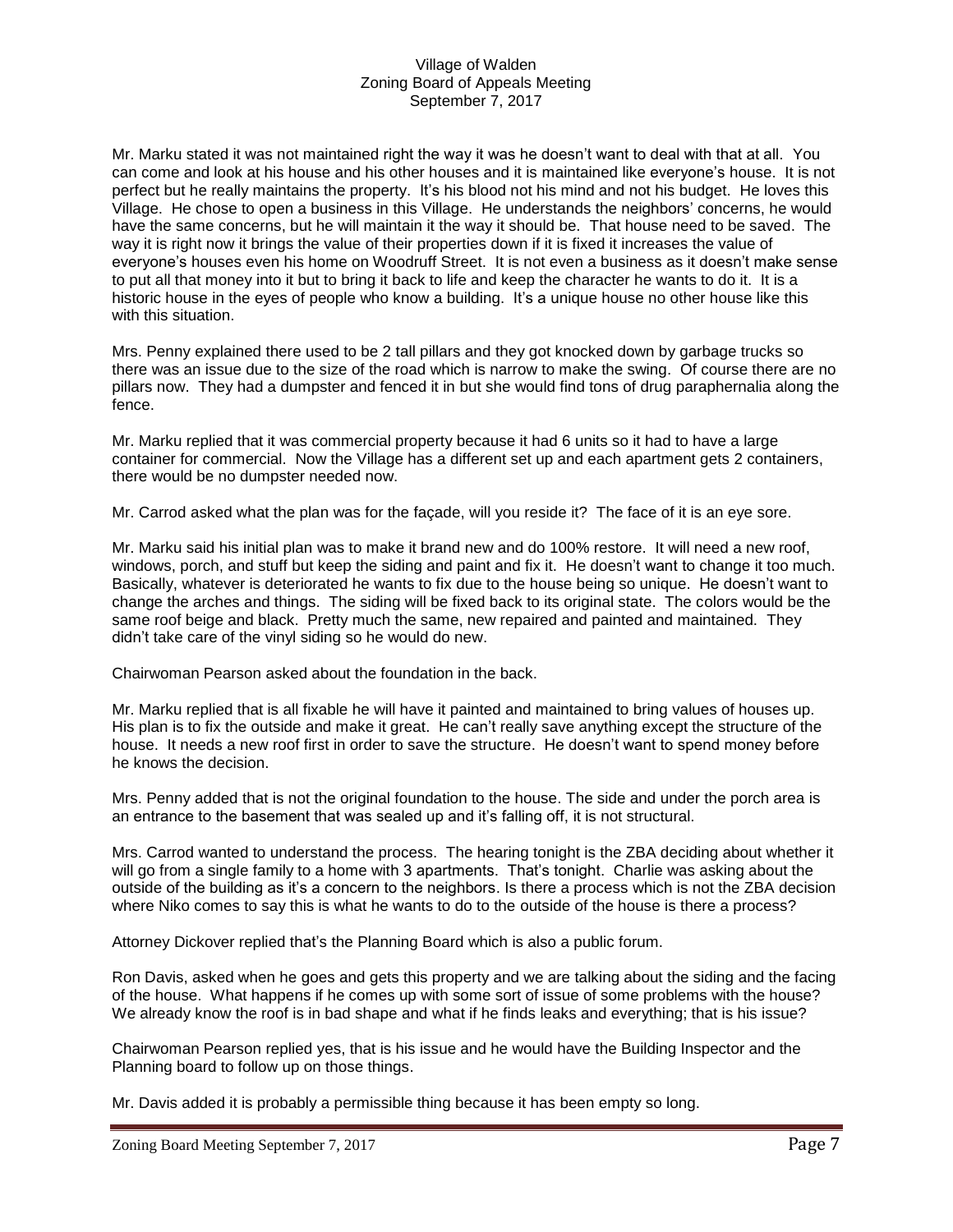Mr. Marku stated it was not maintained right the way it was he doesn't want to deal with that at all. You can come and look at his house and his other houses and it is maintained like everyone's house. It is not perfect but he really maintains the property. It's his blood not his mind and not his budget. He loves this Village. He chose to open a business in this Village. He understands the neighbors' concerns, he would have the same concerns, but he will maintain it the way it should be. That house need to be saved. The way it is right now it brings the value of their properties down if it is fixed it increases the value of everyone's houses even his home on Woodruff Street. It is not even a business as it doesn't make sense to put all that money into it but to bring it back to life and keep the character he wants to do it. It is a historic house in the eyes of people who know a building. It's a unique house no other house like this with this situation.

Mrs. Penny explained there used to be 2 tall pillars and they got knocked down by garbage trucks so there was an issue due to the size of the road which is narrow to make the swing. Of course there are no pillars now. They had a dumpster and fenced it in but she would find tons of drug paraphernalia along the fence.

Mr. Marku replied that it was commercial property because it had 6 units so it had to have a large container for commercial. Now the Village has a different set up and each apartment gets 2 containers, there would be no dumpster needed now.

Mr. Carrod asked what the plan was for the façade, will you reside it? The face of it is an eye sore.

Mr. Marku said his initial plan was to make it brand new and do 100% restore. It will need a new roof, windows, porch, and stuff but keep the siding and paint and fix it. He doesn't want to change it too much. Basically, whatever is deteriorated he wants to fix due to the house being so unique. He doesn't want to change the arches and things. The siding will be fixed back to its original state. The colors would be the same roof beige and black. Pretty much the same, new repaired and painted and maintained. They didn't take care of the vinyl siding so he would do new.

Chairwoman Pearson asked about the foundation in the back.

Mr. Marku replied that is all fixable he will have it painted and maintained to bring values of houses up. His plan is to fix the outside and make it great. He can't really save anything except the structure of the house. It needs a new roof first in order to save the structure. He doesn't want to spend money before he knows the decision.

Mrs. Penny added that is not the original foundation to the house. The side and under the porch area is an entrance to the basement that was sealed up and it's falling off, it is not structural.

Mrs. Carrod wanted to understand the process. The hearing tonight is the ZBA deciding about whether it will go from a single family to a home with 3 apartments. That's tonight. Charlie was asking about the outside of the building as it's a concern to the neighbors. Is there a process which is not the ZBA decision where Niko comes to say this is what he wants to do to the outside of the house is there a process?

Attorney Dickover replied that's the Planning Board which is also a public forum.

Ron Davis, asked when he goes and gets this property and we are talking about the siding and the facing of the house. What happens if he comes up with some sort of issue of some problems with the house? We already know the roof is in bad shape and what if he finds leaks and everything; that is his issue?

Chairwoman Pearson replied yes, that is his issue and he would have the Building Inspector and the Planning board to follow up on those things.

Mr. Davis added it is probably a permissible thing because it has been empty so long.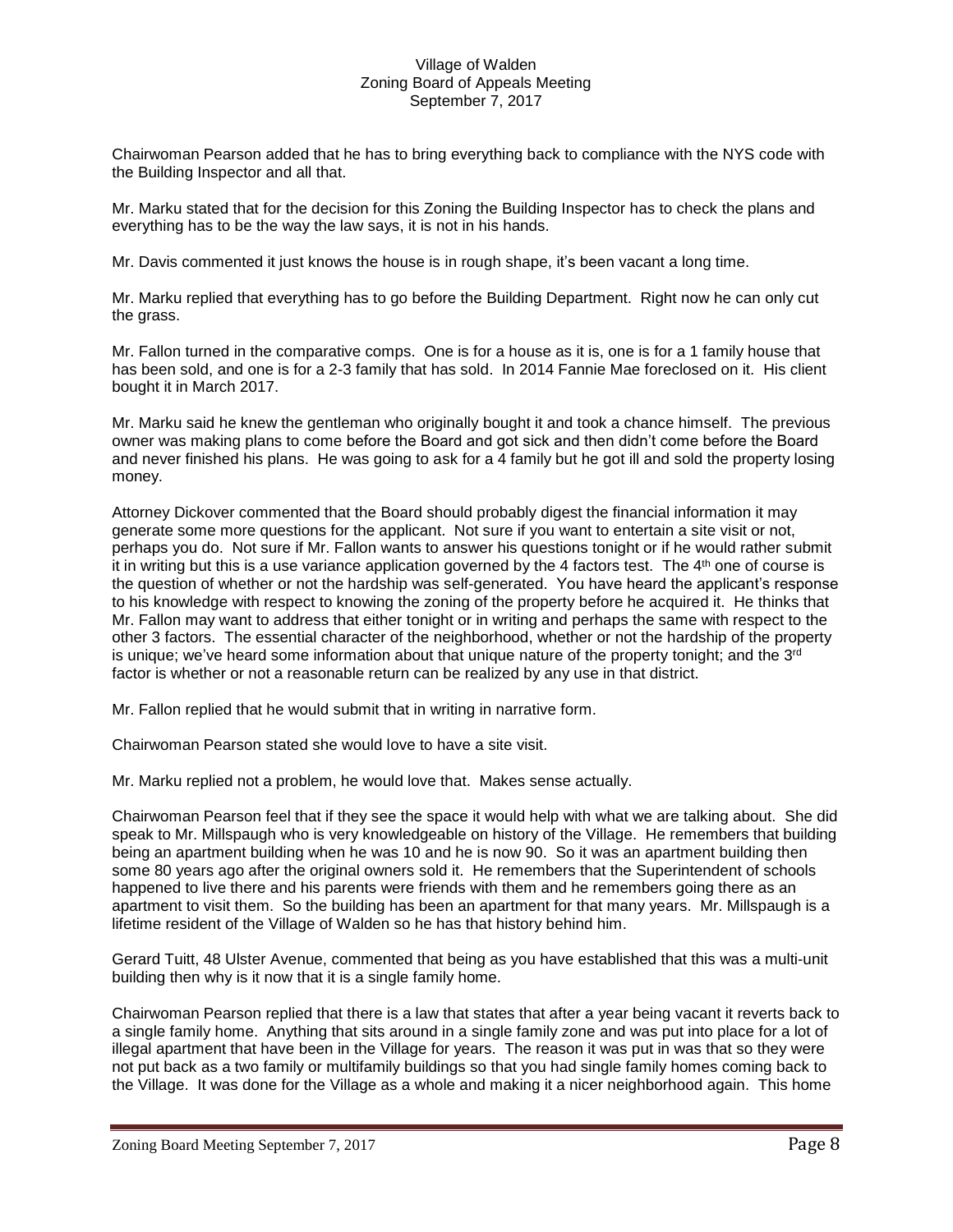Chairwoman Pearson added that he has to bring everything back to compliance with the NYS code with the Building Inspector and all that.

Mr. Marku stated that for the decision for this Zoning the Building Inspector has to check the plans and everything has to be the way the law says, it is not in his hands.

Mr. Davis commented it just knows the house is in rough shape, it's been vacant a long time.

Mr. Marku replied that everything has to go before the Building Department. Right now he can only cut the grass.

Mr. Fallon turned in the comparative comps. One is for a house as it is, one is for a 1 family house that has been sold, and one is for a 2-3 family that has sold. In 2014 Fannie Mae foreclosed on it. His client bought it in March 2017.

Mr. Marku said he knew the gentleman who originally bought it and took a chance himself. The previous owner was making plans to come before the Board and got sick and then didn't come before the Board and never finished his plans. He was going to ask for a 4 family but he got ill and sold the property losing money.

Attorney Dickover commented that the Board should probably digest the financial information it may generate some more questions for the applicant. Not sure if you want to entertain a site visit or not, perhaps you do. Not sure if Mr. Fallon wants to answer his questions tonight or if he would rather submit it in writing but this is a use variance application governed by the 4 factors test. The  $4<sup>th</sup>$  one of course is the question of whether or not the hardship was self-generated. You have heard the applicant's response to his knowledge with respect to knowing the zoning of the property before he acquired it. He thinks that Mr. Fallon may want to address that either tonight or in writing and perhaps the same with respect to the other 3 factors. The essential character of the neighborhood, whether or not the hardship of the property is unique; we've heard some information about that unique nature of the property tonight; and the  $3<sup>rd</sup>$ factor is whether or not a reasonable return can be realized by any use in that district.

Mr. Fallon replied that he would submit that in writing in narrative form.

Chairwoman Pearson stated she would love to have a site visit.

Mr. Marku replied not a problem, he would love that. Makes sense actually.

Chairwoman Pearson feel that if they see the space it would help with what we are talking about. She did speak to Mr. Millspaugh who is very knowledgeable on history of the Village. He remembers that building being an apartment building when he was 10 and he is now 90. So it was an apartment building then some 80 years ago after the original owners sold it. He remembers that the Superintendent of schools happened to live there and his parents were friends with them and he remembers going there as an apartment to visit them. So the building has been an apartment for that many years. Mr. Millspaugh is a lifetime resident of the Village of Walden so he has that history behind him.

Gerard Tuitt, 48 Ulster Avenue, commented that being as you have established that this was a multi-unit building then why is it now that it is a single family home.

Chairwoman Pearson replied that there is a law that states that after a year being vacant it reverts back to a single family home. Anything that sits around in a single family zone and was put into place for a lot of illegal apartment that have been in the Village for years. The reason it was put in was that so they were not put back as a two family or multifamily buildings so that you had single family homes coming back to the Village. It was done for the Village as a whole and making it a nicer neighborhood again. This home

Zoning Board Meeting September 7, 2017 Page 8